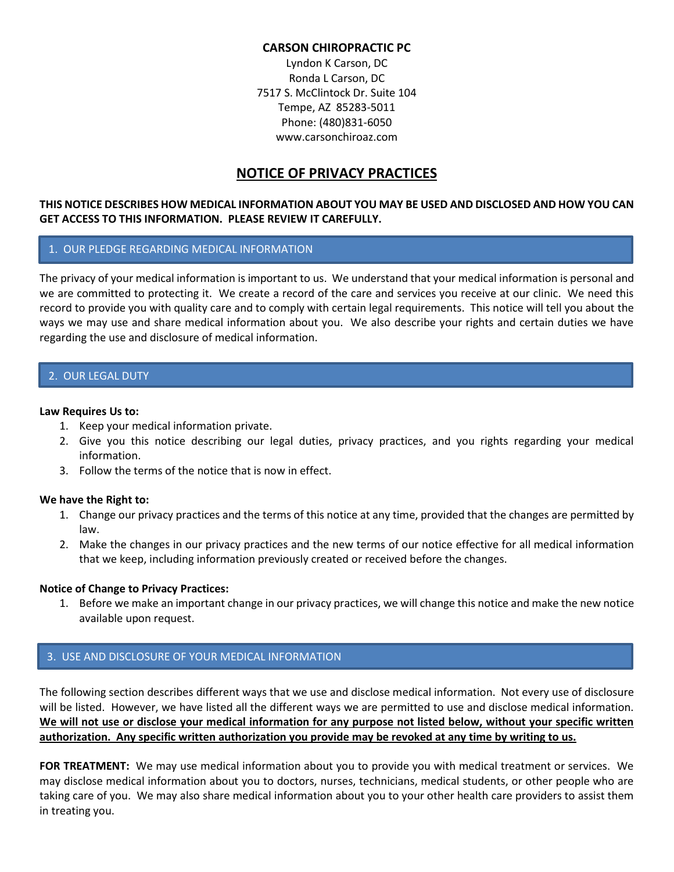## **CARSON CHIROPRACTIC PC**

Lyndon K Carson, DC Ronda L Carson, DC 7517 S. McClintock Dr. Suite 104 Tempe, AZ 85283-5011 Phone: (480)831-6050 www.carsonchiroaz.com

# **NOTICE OF PRIVACY PRACTICES**

## **THIS NOTICE DESCRIBES HOW MEDICAL INFORMATION ABOUT YOU MAY BE USED AND DISCLOSED AND HOW YOU CAN GET ACCESS TO THIS INFORMATION. PLEASE REVIEW IT CAREFULLY.**

## 1. OUR PLEDGE REGARDING MEDICAL INFORMATION

The privacy of your medical information is important to us. We understand that your medical information is personal and we are committed to protecting it. We create a record of the care and services you receive at our clinic. We need this record to provide you with quality care and to comply with certain legal requirements. This notice will tell you about the ways we may use and share medical information about you. We also describe your rights and certain duties we have regarding the use and disclosure of medical information.

# 2. OUR LEGAL DUTY

#### **Law Requires Us to:**

- 1. Keep your medical information private.
- 2. Give you this notice describing our legal duties, privacy practices, and you rights regarding your medical information.
- 3. Follow the terms of the notice that is now in effect.

#### **We have the Right to:**

- 1. Change our privacy practices and the terms of this notice at any time, provided that the changes are permitted by law.
- 2. Make the changes in our privacy practices and the new terms of our notice effective for all medical information that we keep, including information previously created or received before the changes.

#### **Notice of Change to Privacy Practices:**

1. Before we make an important change in our privacy practices, we will change this notice and make the new notice available upon request.

# 3. USE AND DISCLOSURE OF YOUR MEDICAL INFORMATION

The following section describes different ways that we use and disclose medical information. Not every use of disclosure will be listed. However, we have listed all the different ways we are permitted to use and disclose medical information. **We will not use or disclose your medical information for any purpose not listed below, without your specific written authorization. Any specific written authorization you provide may be revoked at any time by writing to us.**

**FOR TREATMENT:** We may use medical information about you to provide you with medical treatment or services. We may disclose medical information about you to doctors, nurses, technicians, medical students, or other people who are taking care of you. We may also share medical information about you to your other health care providers to assist them in treating you.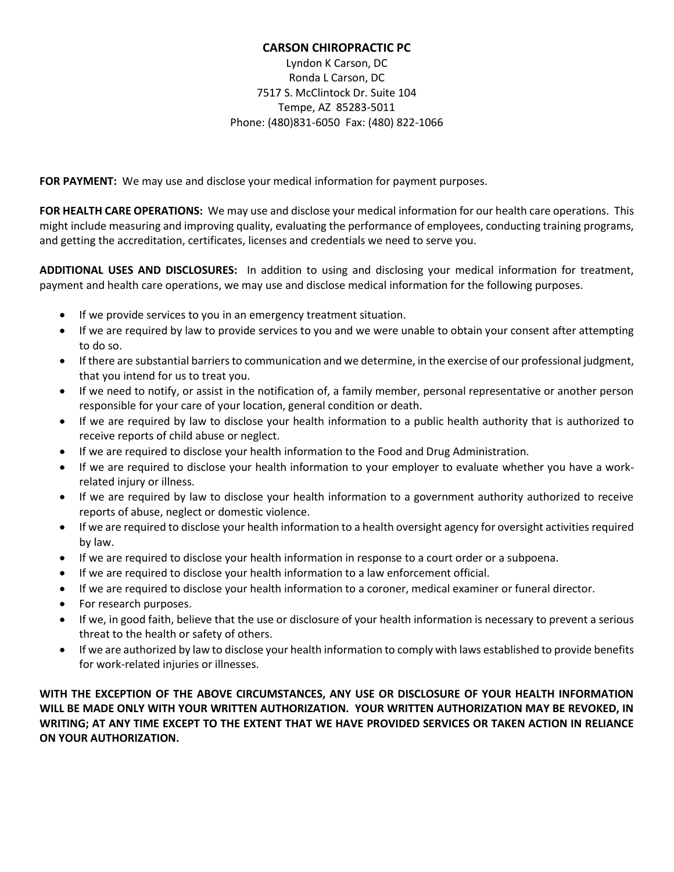# **CARSON CHIROPRACTIC PC**

Lyndon K Carson, DC Ronda L Carson, DC 7517 S. McClintock Dr. Suite 104 Tempe, AZ 85283-5011 Phone: (480)831-6050 Fax: (480) 822-1066

**FOR PAYMENT:** We may use and disclose your medical information for payment purposes.

**FOR HEALTH CARE OPERATIONS:** We may use and disclose your medical information for our health care operations. This might include measuring and improving quality, evaluating the performance of employees, conducting training programs, and getting the accreditation, certificates, licenses and credentials we need to serve you.

**ADDITIONAL USES AND DISCLOSURES:** In addition to using and disclosing your medical information for treatment, payment and health care operations, we may use and disclose medical information for the following purposes.

- If we provide services to you in an emergency treatment situation.
- If we are required by law to provide services to you and we were unable to obtain your consent after attempting to do so.
- If there are substantial barriers to communication and we determine, in the exercise of our professional judgment, that you intend for us to treat you.
- If we need to notify, or assist in the notification of, a family member, personal representative or another person responsible for your care of your location, general condition or death.
- If we are required by law to disclose your health information to a public health authority that is authorized to receive reports of child abuse or neglect.
- If we are required to disclose your health information to the Food and Drug Administration.
- If we are required to disclose your health information to your employer to evaluate whether you have a workrelated injury or illness.
- If we are required by law to disclose your health information to a government authority authorized to receive reports of abuse, neglect or domestic violence.
- If we are required to disclose your health information to a health oversight agency for oversight activities required by law.
- If we are required to disclose your health information in response to a court order or a subpoena.
- If we are required to disclose your health information to a law enforcement official.
- If we are required to disclose your health information to a coroner, medical examiner or funeral director.
- For research purposes.
- If we, in good faith, believe that the use or disclosure of your health information is necessary to prevent a serious threat to the health or safety of others.
- If we are authorized by law to disclose your health information to comply with laws established to provide benefits for work-related injuries or illnesses.

**WITH THE EXCEPTION OF THE ABOVE CIRCUMSTANCES, ANY USE OR DISCLOSURE OF YOUR HEALTH INFORMATION WILL BE MADE ONLY WITH YOUR WRITTEN AUTHORIZATION. YOUR WRITTEN AUTHORIZATION MAY BE REVOKED, IN WRITING; AT ANY TIME EXCEPT TO THE EXTENT THAT WE HAVE PROVIDED SERVICES OR TAKEN ACTION IN RELIANCE ON YOUR AUTHORIZATION.**